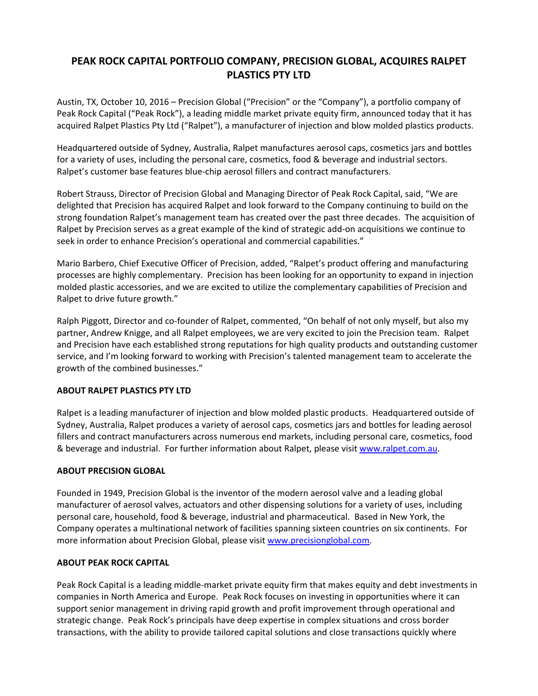## **PEAK ROCK CAPITAL PORTFOLIO COMPANY, PRECISION GLOBAL, ACQUIRES RALPET PLASTICS PTY LTD**

Austin, TX, October 10, 2016 – Precision Global ("Precision" or the "Company"), a portfolio company of Peak Rock Capital ("Peak Rock"), a leading middle market private equity firm, announced today that it has acquired Ralpet Plastics Pty Ltd ("Ralpet"), a manufacturer of injection and blow molded plastics products.

Headquartered outside of Sydney, Australia, Ralpet manufactures aerosol caps, cosmetics jars and bottles for a variety of uses, including the personal care, cosmetics, food & beverage and industrial sectors. Ralpet's customer base features blue‐chip aerosol fillers and contract manufacturers.

Robert Strauss, Director of Precision Global and Managing Director of Peak Rock Capital, said, "We are delighted that Precision has acquired Ralpet and look forward to the Company continuing to build on the strong foundation Ralpet's management team has created over the past three decades. The acquisition of Ralpet by Precision serves as a great example of the kind of strategic add‐on acquisitions we continue to seek in order to enhance Precision's operational and commercial capabilities."

Mario Barbero, Chief Executive Officer of Precision, added, "Ralpet's product offering and manufacturing processes are highly complementary. Precision has been looking for an opportunity to expand in injection molded plastic accessories, and we are excited to utilize the complementary capabilities of Precision and Ralpet to drive future growth."

Ralph Piggott, Director and co‐founder of Ralpet, commented, "On behalf of not only myself, but also my partner, Andrew Knigge, and all Ralpet employees, we are very excited to join the Precision team. Ralpet and Precision have each established strong reputations for high quality products and outstanding customer service, and I'm looking forward to working with Precision's talented management team to accelerate the growth of the combined businesses."

## **ABOUT RALPET PLASTICS PTY LTD**

Ralpet is a leading manufacturer of injection and blow molded plastic products. Headquartered outside of Sydney, Australia, Ralpet produces a variety of aerosol caps, cosmetics jars and bottles for leading aerosol fillers and contract manufacturers across numerous end markets, including personal care, cosmetics, food & beverage and industrial. For further information about Ralpet, please visit www.ralpet.com.au.

## **ABOUT PRECISION GLOBAL**

Founded in 1949, Precision Global is the inventor of the modern aerosol valve and a leading global manufacturer of aerosol valves, actuators and other dispensing solutions for a variety of uses, including personal care, household, food & beverage, industrial and pharmaceutical. Based in New York, the Company operates a multinational network of facilities spanning sixteen countries on six continents. For more information about Precision Global, please visit www.precisionglobal.com.

## **ABOUT PEAK ROCK CAPITAL**

Peak Rock Capital is a leading middle‐market private equity firm that makes equity and debt investments in companies in North America and Europe. Peak Rock focuses on investing in opportunities where it can support senior management in driving rapid growth and profit improvement through operational and strategic change. Peak Rock's principals have deep expertise in complex situations and cross border transactions, with the ability to provide tailored capital solutions and close transactions quickly where